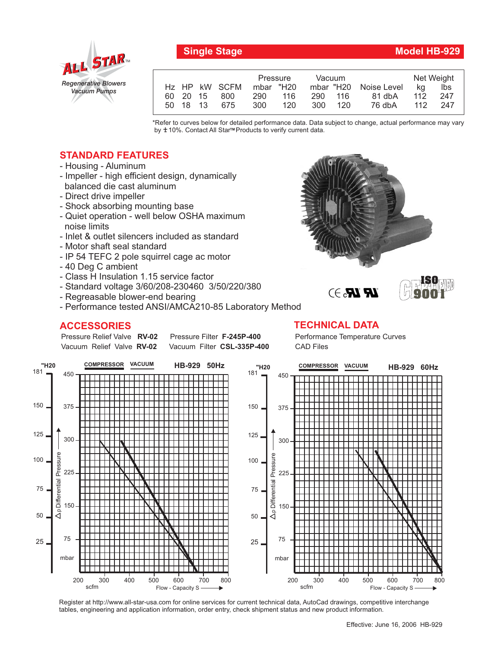

## **Single Stage Model HB-929**

**9001**

|  |          |               | Pressure  |     | Vacuum  |         |                       | Net Weight |      |
|--|----------|---------------|-----------|-----|---------|---------|-----------------------|------------|------|
|  |          | Hz HP kW SCFM | mbar "H20 |     |         |         | mbar "H20 Noise Level | ka         | lbs  |
|  |          | 60 20 15 800  | 290       | 116 |         | 290 116 | 81 dbA                | 112        | 247  |
|  | 50 18 13 | 675           | 300       | 120 | 300 120 |         | 76 dbA                | 112        | -247 |

\*Refer to curves below for detailed performance data. Data subject to change, actual performance may vary by ±10%. Contact All Star<sup>™</sup> Products to verify current data.

## **STANDARD FEATURES**

- Housing Aluminum
- Impeller high efficient design, dynamically balanced die cast aluminum
- Direct drive impeller
- Shock absorbing mounting base
- Quiet operation well below OSHA maximum noise limits
- Inlet & outlet silencers included as standard
- Motor shaft seal standard
- IP 54 TEFC 2 pole squirrel cage ac motor
- 40 Deg C ambient
- Class H Insulation 1.15 service factor
- Standard voltage 3/60/208-230460 3/50/220/380
- Regreasable blower-end bearing
- Performance tested ANSI/AMCA210-85 Laboratory Method

**Pressure Filter F-245P-400** Vacuum Filter CSL-335P-400

## **ACCESSORIES TECHNICAL DATA**

Pressure Relief Valve RV-02 Vacuum Relief Valve RV-02

Performance Temperature Curves CAD Files

 $\mathbb{R}$   $\mathbb{R}$ . $\ni$ 



Register at http://www.all-star-usa.com for online services for current technical data, AutoCad drawings, competitive interchange tables, engineering and application information, order entry, check shipment status and new product information.